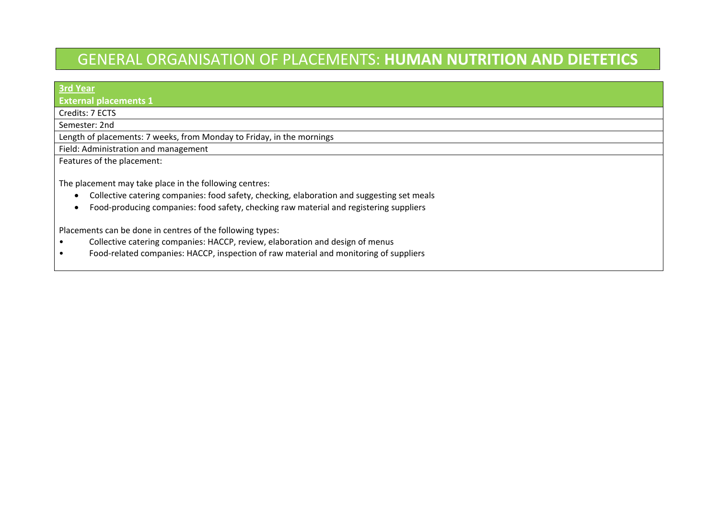## GENERAL ORGANISATION OF PLACEMENTS: **HUMAN NUTRITION AND DIETETICS**

| <b>3rd Year</b>                                                                                                                                                                                                                                                  |
|------------------------------------------------------------------------------------------------------------------------------------------------------------------------------------------------------------------------------------------------------------------|
| <b>External placements 1</b>                                                                                                                                                                                                                                     |
| Credits: 7 ECTS                                                                                                                                                                                                                                                  |
| Semester: 2nd                                                                                                                                                                                                                                                    |
| Length of placements: 7 weeks, from Monday to Friday, in the mornings                                                                                                                                                                                            |
| Field: Administration and management                                                                                                                                                                                                                             |
| Features of the placement:                                                                                                                                                                                                                                       |
| The placement may take place in the following centres:<br>Collective catering companies: food safety, checking, elaboration and suggesting set meals<br>$\bullet$<br>Food-producing companies: food safety, checking raw material and registering suppliers<br>٠ |
| Placements can be done in centres of the following types:<br>Collective catering companies: HACCP, review, elaboration and design of menus                                                                                                                       |

•● **E**ood-related companies: HACCP, inspection of raw material and monitoring of suppliers